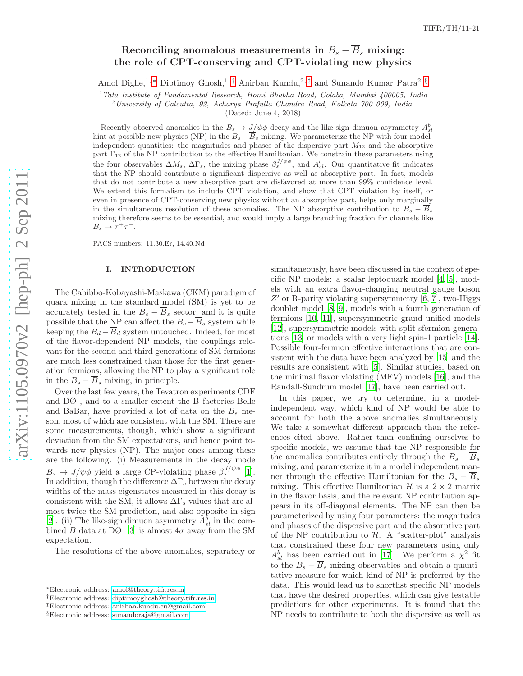# Reconciling anomalous measurements in  $B_s - \overline{B}_s$  mixing: the role of CPT-conserving and CPT-violating new physics

Amol Dighe,<sup>1,[∗](#page-0-0)</sup> Diptimoy Ghosh,<sup>1,[†](#page-0-1)</sup> Anirban Kundu,<sup>2,[‡](#page-0-2)</sup> and Sunando Kumar Patra<sup>2, [§](#page-0-3)</sup>

<sup>1</sup> Tata Institute of Fundamental Research, Homi Bhabha Road, Colaba, Mumbai 400005, India  $^{2}$ University of Calcutta, 92, Acharya Prafulla Chandra Road, Kolkata 700 009, India.

(Dated: June 4, 2018)

Recently observed anomalies in the  $B_s \to J/\psi \phi$  decay and the like-sign dimuon asymmetry  $A_{sl}^b$ hint at possible new physics (NP) in the  $B_s - B_s$  mixing. We parameterize the NP with four modelindependent quantities: the magnitudes and phases of the dispersive part  $M_{12}$  and the absorptive part  $\Gamma_{12}$  of the NP contribution to the effective Hamiltonian. We constrain these parameters using the four observables  $\Delta M_s$ ,  $\Delta \Gamma_s$ , the mixing phase  $\beta_s^{J/\psi\phi}$ , and  $A_{sl}^b$ . Our quantitative fit indicates that the NP should contribute a significant dispersive as well as absorptive part. In fact, models that do not contribute a new absorptive part are disfavored at more than 99% confidence level. We extend this formalism to include CPT violation, and show that CPT violation by itself, or even in presence of CPT-conserving new physics without an absorptive part, helps only marginally in the simultaneous resolution of these anomalies. The NP absorptive contribution to  $B_s - B_s$ mixing therefore seems to be essential, and would imply a large branching fraction for channels like  $B_s \to \tau^+\tau^-$ .

PACS numbers: 11.30.Er, 14.40.Nd

#### I. INTRODUCTION

The Cabibbo-Kobayashi-Maskawa (CKM) paradigm of quark mixing in the standard model (SM) is yet to be accurately tested in the  $B_s - B_s$  sector, and it is quite possible that the NP can affect the  $B_s - B_s$  system while keeping the  $B_d - B_d$  system untouched. Indeed, for most of the flavor-dependent NP models, the couplings relevant for the second and third generations of SM fermions are much less constrained than those for the first generation fermions, allowing the NP to play a significant role in the  $B_s - B_s$  mixing, in principle.

Over the last few years, the Tevatron experiments CDF and DØ , and to a smaller extent the B factories Belle and BaBar, have provided a lot of data on the  $B_s$  meson, most of which are consistent with the SM. There are some measurements, though, which show a significant deviation from the SM expectations, and hence point towards new physics (NP). The major ones among these are the following. (i) Measurements in the decay mode  $B_s \to J/\psi \phi$  yield a large CP-violating phase  $\beta_s^{J/\psi \phi}$  [\[1\]](#page-8-0). In addition, though the difference  $\Delta\Gamma_s$  between the decay widths of the mass eigenstates measured in this decay is consistent with the SM, it allows  $\Delta\Gamma_s$  values that are almost twice the SM prediction, and also opposite in sign [\[2\]](#page-8-1). (ii) The like-sign dimuon asymmetry  $A_{sl}^b$  in the combined B data at D $\varnothing$  [\[3\]](#page-8-2) is almost  $4\sigma$  away from the SM expectation.

The resolutions of the above anomalies, separately or

simultaneously, have been discussed in the context of specific NP models: a scalar leptoquark model [\[4,](#page-8-3) [5\]](#page-8-4), models with an extra flavor-changing neutral gauge boson  $Z'$  or R-parity violating supersymmetry [\[6,](#page-8-5) [7\]](#page-8-6), two-Higgs doublet model [\[8](#page-8-7), [9\]](#page-8-8), models with a fourth generation of fermions [\[10,](#page-8-9) [11](#page-8-10)], supersymmetric grand unified models [\[12\]](#page-8-11), supersymmetric models with split sfermion generations [\[13\]](#page-8-12) or models with a very light spin-1 particle [\[14\]](#page-8-13). Possible four-fermion effective interactions that are consistent with the data have been analyzed by [\[15](#page-8-14)] and the results are consistent with [\[5\]](#page-8-4). Similar studies, based on the minimal flavor violating (MFV) models [\[16\]](#page-8-15), and the Randall-Sundrum model [\[17\]](#page-8-16), have been carried out.

In this paper, we try to determine, in a modelindependent way, which kind of NP would be able to account for both the above anomalies simultaneously. We take a somewhat different approach than the references cited above. Rather than confining ourselves to specific models, we assume that the NP responsible for the anomalies contributes entirely through the  $B_s - B_s$ mixing, and parameterize it in a model independent manner through the effective Hamiltonian for the  $B_s - B_s$ mixing. This effective Hamiltonian  $\mathcal{H}$  is a  $2 \times 2$  matrix in the flavor basis, and the relevant NP contribution appears in its off-diagonal elements. The NP can then be parameterized by using four parameters: the magnitudes and phases of the dispersive part and the absorptive part of the NP contribution to  $H$ . A "scatter-plot" analysis that constrained these four new parameters using only  $A_{sl}^b$  has been carried out in [\[17\]](#page-8-16). We perform a  $\chi^2$  fit to the  $B_s - B_s$  mixing observables and obtain a quantitative measure for which kind of NP is preferred by the data. This would lead us to shortlist specific NP models that have the desired properties, which can give testable predictions for other experiments. It is found that the NP needs to contribute to both the dispersive as well as

<span id="page-0-0"></span><sup>∗</sup>Electronic address: [amol@theory.tifr.res.in](mailto:amol@theory.tifr.res.in)

<span id="page-0-1"></span><sup>†</sup>Electronic address: [diptimoyghosh@theory.tifr.res.in](mailto:diptimoyghosh@theory.tifr.res.in)

<span id="page-0-2"></span><sup>‡</sup>Electronic address: [anirban.kundu.cu@gmail.com](mailto:anirban.kundu.cu@gmail.com)

<span id="page-0-3"></span><sup>§</sup>Electronic address: [sunandoraja@gmail.com](mailto:sunandoraja@gmail.com)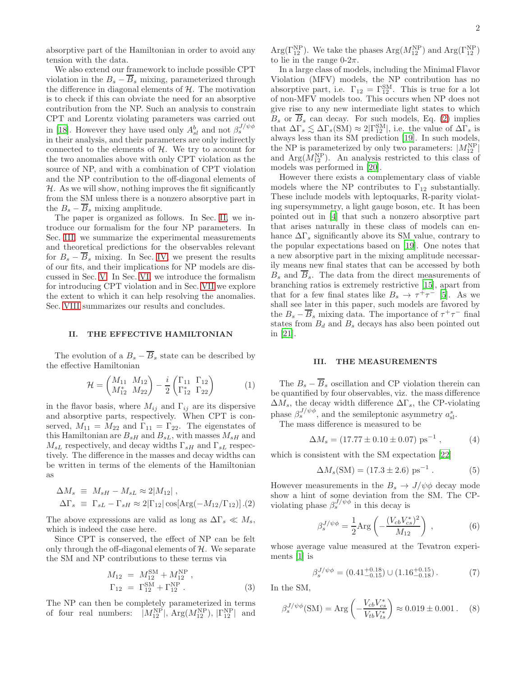absorptive part of the Hamiltonian in order to avoid any tension with the data.

We also extend our framework to include possible CPT violation in the  $B_s - \overline{B}_s$  mixing, parameterized through the difference in diagonal elements of  $H$ . The motivation is to check if this can obviate the need for an absorptive contribution from the NP. Such an analysis to constrain CPT and Lorentz violating parameters was carried out in [\[18](#page-8-17)]. However they have used only  $A_{sl}^b$  and not  $\beta_s^{J/\psi\phi}$ in their analysis, and their parameters are only indirectly connected to the elements of  $H$ . We try to account for the two anomalies above with only CPT violation as the source of NP, and with a combination of CPT violation and the NP contribution to the off-diagonal elements of  $H$ . As we will show, nothing improves the fit significantly from the SM unless there is a nonzero absorptive part in the  $B_s - \overline{B}_s$  mixing amplitude.

The paper is organized as follows. In Sec. [II,](#page-1-0) we introduce our formalism for the four NP parameters. In Sec. [III,](#page-1-1) we summarize the experimental measurements and theoretical predictions for the observables relevant for  $B_s - \overline{B}_s$  mixing. In Sec. [IV,](#page-2-0) we present the results of our fits, and their implications for NP models are discussed in Sec. [V.](#page-4-0) In Sec. [VI,](#page-4-1) we introduce the formalism for introducing CPT violation and in Sec. [VII](#page-6-0) we explore the extent to which it can help resolving the anomalies. Sec. [VIII](#page-7-0) summarizes our results and concludes.

#### <span id="page-1-0"></span>II. THE EFFECTIVE HAMILTONIAN

The evolution of a  $B_s - \overline{B}_s$  state can be described by the effective Hamiltonian

<span id="page-1-4"></span>
$$
\mathcal{H} = \begin{pmatrix} M_{11} & M_{12} \\ M_{12}^* & M_{22} \end{pmatrix} - \frac{i}{2} \begin{pmatrix} \Gamma_{11} & \Gamma_{12} \\ \Gamma_{12}^* & \Gamma_{22} \end{pmatrix}
$$
 (1)

in the flavor basis, where  $M_{ij}$  and  $\Gamma_{ij}$  are its dispersive and absorptive parts, respectively. When CPT is conserved,  $M_{11} = M_{22}$  and  $\Gamma_{11} = \Gamma_{22}$ . The eigenstates of this Hamiltonian are  $B_{sH}$  and  $B_{sL}$ , with masses  $M_{sH}$  and  $M_{sL}$  respectively, and decay widths  $\Gamma_{sH}$  and  $\Gamma_{sL}$  respectively. The difference in the masses and decay widths can be written in terms of the elements of the Hamiltonian as

<span id="page-1-2"></span>
$$
\Delta M_s \equiv M_{sH} - M_{sL} \approx 2|M_{12}|,
$$
  
\n
$$
\Delta \Gamma_s \equiv \Gamma_{sL} - \Gamma_{sH} \approx 2|\Gamma_{12}| \cos[\text{Arg}(-M_{12}/\Gamma_{12})].(2)
$$

The above expressions are valid as long as  $\Delta\Gamma_s \ll M_s$ , which is indeed the case here.

Since CPT is conserved, the effect of NP can be felt only through the off-diagonal elements of  $H$ . We separate the SM and NP contributions to these terms via

$$
M_{12} = M_{12}^{SM} + M_{12}^{NP} ,
$$
  
\n
$$
\Gamma_{12} = \Gamma_{12}^{SM} + \Gamma_{12}^{NP} .
$$
\n(3)

The NP can then be completely parameterized in terms of four real numbers:  $|M_{12}^{NP}|$ ,  $Arg(M_{12}^{NP})$ ,  $|\Gamma_{12}^{NP}|$  and

 $Arg(\Gamma_{12}^{NP})$ . We take the phases  $Arg(M_{12}^{NP})$  and  $Arg(\Gamma_{12}^{NP})$ to lie in the range  $0-2\pi$ .

In a large class of models, including the Minimal Flavor Violation (MFV) models, the NP contribution has no absorptive part, i.e.  $\Gamma_{12} = \Gamma_{12}^{\text{SM}}$ . This is true for a lot of non-MFV models too. This occurs when NP does not give rise to any new intermediate light states to which  $B_s$  or  $\overline{B}_s$  can decay. For such models, Eq. [\(2\)](#page-1-2) implies that  $\Delta\Gamma_s \lesssim \Delta\Gamma_s(\text{SM}) \approx 2|\Gamma_{12}^{\text{SM}}|$ , i.e. the value of  $\Delta\Gamma_s$  is always less than its SM prediction [\[19](#page-8-18)]. In such models, the NP is parameterized by only two parameters:  $|M_{12}^{NP}|$ and  $Arg(M_{12}^{NP})$ . An analysis restricted to this class of models was performed in [\[20\]](#page-8-19).

However there exists a complementary class of viable models where the NP contributes to  $\Gamma_{12}$  substantially. These include models with leptoquarks, R-parity violating supersymmetry, a light gauge boson, etc. It has been pointed out in [\[4](#page-8-3)] that such a nonzero absorptive part that arises naturally in these class of models can enhance  $\Delta\Gamma_s$  significantly above its SM value, contrary to the popular expectations based on [\[19\]](#page-8-18). One notes that a new absorptive part in the mixing amplitude necessarily means new final states that can be accessed by both  $B_s$  and  $\overline{B}_s$ . The data from the direct measurements of branching ratios is extremely restrictive [\[15\]](#page-8-14), apart from that for a few final states like  $B_s \to \tau^+\tau^-$  [\[5](#page-8-4)]. As we shall see later in this paper, such models are favored by the  $B_s - \overline{B}_s$  mixing data. The importance of  $\tau^+\tau^-$  final states from  $B_d$  and  $B_s$  decays has also been pointed out in [\[21\]](#page-8-20).

#### <span id="page-1-1"></span>III. THE MEASUREMENTS

The  $B_s - \overline{B}_s$  oscillation and CP violation therein can be quantified by four observables, viz. the mass difference  $\Delta M_s$ , the decay width difference  $\Delta \Gamma_s$ , the CP-violating phase  $\beta_s^{J/\psi\phi}$ , and the semileptonic asymmetry  $a_{\rm sl}^s$ .

The mass difference is measured to be

$$
\Delta M_s = (17.77 \pm 0.10 \pm 0.07) \text{ ps}^{-1} , \qquad (4)
$$

which is consistent with the SM expectation [\[22](#page-8-21)]

$$
\Delta M_s(\text{SM}) = (17.3 \pm 2.6) \text{ ps}^{-1} . \tag{5}
$$

However measurements in the  $B_s \to J/\psi \phi$  decay mode show a hint of some deviation from the SM. The CPviolating phase  $\beta_s^{J/\psi \phi}$  in this decay is

$$
\beta_s^{J/\psi\phi} = \frac{1}{2} \text{Arg}\left(-\frac{(V_{cb}V_{cs}^*)^2}{M_{12}}\right) ,\qquad (6)
$$

whose average value measured at the Tevatron experiments [\[1\]](#page-8-0) is

<span id="page-1-3"></span>
$$
\beta_s^{J/\psi\phi} = (0.41^{+0.18}_{-0.15}) \cup (1.16^{+0.15}_{-0.18}). \tag{7}
$$

In the SM,

$$
\beta_s^{J/\psi\phi}(\text{SM}) = \text{Arg}\left(-\frac{V_{cb}V_{cs}^*}{V_{tb}V_{ts}^*}\right) \approx 0.019 \pm 0.001. \quad (8)
$$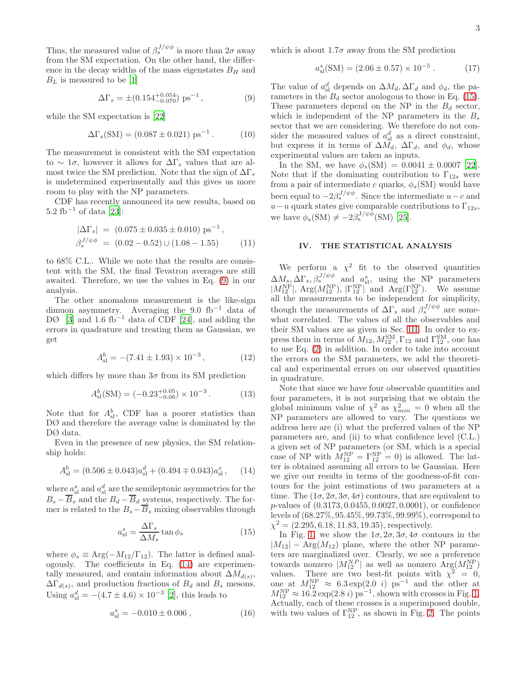Thus, the measured value of  $\beta_s^{J/\psi\phi}$  is more than  $2\sigma$  away from the SM expectation. On the other hand, the difference in the decay widths of the mass eigenstates  $B_H$  and  $B_L$  is measured to be [\[1\]](#page-8-0)

<span id="page-2-1"></span>
$$
\Delta\Gamma_s = \pm (0.154^{+0.054}_{-0.070}) \text{ ps}^{-1},\tag{9}
$$

while the SM expectation is [\[22\]](#page-8-21)

<span id="page-2-4"></span>
$$
\Delta\Gamma_s(\text{SM}) = (0.087 \pm 0.021) \text{ ps}^{-1}. \tag{10}
$$

The measurement is consistent with the SM expectation to  $\sim 1\sigma$ , however it allows for  $\Delta\Gamma_s$  values that are almost twice the SM prediction. Note that the sign of  $\Delta\Gamma_s$ is undetermined experimentally and this gives us more room to play with the NP parameters.

CDF has recently announced its new results, based on  $5.2 \text{ fb}^{-1}$  of data [\[23\]](#page-8-22):

$$
|\Delta\Gamma_s| = (0.075 \pm 0.035 \pm 0.010) \text{ ps}^{-1},
$$
  

$$
\beta_s^{J/\psi\phi} = (0.02 - 0.52) \cup (1.08 - 1.55)
$$
 (11)

to 68% C.L.. While we note that the results are consistent with the SM, the final Tevatron averages are still awaited. Therefore, we use the values in Eq. [\(9\)](#page-2-1) in our analysis.

The other anomalous measurement is the like-sign dimuon asymmetry. Averaging the 9.0 fb<sup>−</sup><sup>1</sup> data of DØ [\[3\]](#page-8-2) and 1.6 fb<sup>-1</sup> data of CDF [\[24\]](#page-8-23), and adding the errors in quadrature and treating them as Gaussian, we get

$$
A_{\rm sl}^b = -(7.41 \pm 1.93) \times 10^{-3},\tag{12}
$$

which differs by more than  $3\sigma$  from its SM prediction

$$
A_{\rm sl}^b(\text{SM}) = (-0.23^{+0.05}_{-0.06}) \times 10^{-3} \,. \tag{13}
$$

Note that for  $A_{\rm sl}^b$ , CDF has a poorer statistics than DØ and therefore the average value is dominated by the DØ data.

Even in the presence of new physics, the SM relationship holds:

<span id="page-2-2"></span>
$$
A_{\rm sl}^b = (0.506 \pm 0.043)a_{\rm sl}^d + (0.494 \mp 0.043)a_{\rm sl}^s, \quad (14)
$$

where  $a_{\rm sl}^s$  and  $a_{\rm sl}^d$  are the semileptonic asymmetries for the  $B_s - B_s$  and the  $B_d - B_d$  systems, respectively. The former is related to the  $B_s - B_s$  mixing observables through

<span id="page-2-3"></span>
$$
a_{\rm sl}^s = \frac{\Delta \Gamma_s}{\Delta M_s} \tan \phi_s \tag{15}
$$

where  $\phi_s \equiv \text{Arg}(-M_{12}/\Gamma_{12})$ . The latter is defined analogously. The coefficients in Eq. [\(14\)](#page-2-2) are experimentally measured, and contain information about  $\Delta M_{d(s)}$ ,  $\Delta\Gamma_{d(s)}$ , and production fractions of  $B_d$  and  $B_s$  mesons. Using  $a_{\rm sl}^d = -(4.7 \pm 4.6) \times 10^{-3}$  [\[2\]](#page-8-1), this leads to

$$
a_{\rm sl}^s = -0.010 \pm 0.006 \; , \qquad (16)
$$

which is about  $1.7\sigma$  away from the SM prediction

$$
a_{\rm sl}^s(\text{SM}) = (2.06 \pm 0.57) \times 10^{-5} \,. \tag{17}
$$

The value of  $a_{\rm sl}^d$  depends on  $\Delta M_d$ ,  $\Delta \Gamma_d$  and  $\phi_d$ , the parameters in the  $B_d$  sector anologous to those in Eq. [\(15\)](#page-2-3). These parameters depend on the NP in the  $B_d$  sector, which is independent of the NP parameters in the  $B_s$ sector that we are considering. We therefore do not consider the measured values of  $a_{\rm sl}^d$  as a direct constraint, but express it in terms of  $\Delta M_d$ ,  $\Delta \Gamma_d$ , and  $\phi_d$ , whose experimental values are taken as inputs.

In the SM, we have  $\phi_s(SM) = 0.0041 \pm 0.0007$  [\[22\]](#page-8-21). Note that if the dominating contribution to  $\Gamma_{12s}$  were from a pair of intermediate c quarks,  $\phi_s(SM)$  would have been equal to  $-2\beta_s^{J/\psi\phi}$ . Since the intermediate  $u-c$  and  $u-u$  quark states give comparable contributions to  $\Gamma_{12s}$ , we have  $\phi_s(SM) \neq -2\beta_s^{J/\psi\phi}(SM)$  [\[25\]](#page-9-0).

## <span id="page-2-0"></span>IV. THE STATISTICAL ANALYSIS

We perform a  $\chi^2$  fit to the observed quantities  $\Delta M_s$ ,  $\Delta \Gamma_s$ ,  $\beta_s^{J/\psi \phi}$  and  $a_{\rm sl}^s$ , using the NP parameters  $|M_{12}^{NP}|$ , Arg $(M_{12}^{NP})$ ,  $|\Gamma_{12}^{NP}|$  and Arg $(\Gamma_{12}^{NP})$ . We assume all the measurements to be independent for simplicity, though the measurements of  $\Delta\Gamma_s$  and  $\beta_s^{J/\psi\phi}$  are somewhat correlated. The values of all the observables and their SM values are as given in Sec. [III.](#page-1-1) In order to express them in terms of  $M_{12}, M_{12}^{\text{SM}}, \Gamma_{12}$  and  $\Gamma_{12}^{\text{SM}},$  one has to use Eq. [\(2\)](#page-1-2) in addition. In order to take into account the errors on the SM parameters, we add the theoretical and experimental errors on our observed quantities in quadrature.

Note that since we have four observable quantities and four parameters, it is not surprising that we obtain the global minimum value of  $\chi^2$  as  $\chi^2_{min} = 0$  when all the NP parameters are allowed to vary. The questions we address here are (i) what the preferred values of the NP parameters are, and (ii) to what confidence level (C.L.) a given set of NP parameters (or SM, which is a special case of NP with  $M_{12}^{\text{NP}} = \Gamma_{12}^{\text{NP}} = 0$ ) is allowed. The latter is obtained assuming all errors to be Gaussian. Here we give our results in terms of the goodness-of-fit contours for the joint estimations of two parameters at a time. The  $(1\sigma, 2\sigma, 3\sigma, 4\sigma)$  contours, that are equivalent to p-values of (0.3173, 0.0455, 0.0027, 0.0001), or confidence levels of (68.27%, 95.45%, 99.73%, 99.99%), correspond to  $\chi^2 = (2.295, 6.18, 11.83, 19.35)$ , respectively.

In Fig. [1,](#page-3-0) we show the  $1\sigma$ ,  $2\sigma$ ,  $3\sigma$ ,  $4\sigma$  contours in the  $|M_{12}|$  – Arg $(M_{12})$  plane, where the other NP parameters are marginalized over. Clearly, we see a preference towards nonzero  $|M_{12}^{NP}|$  as well as nonzero  $Arg(M_{12}^{NP})$ values. There are two best-fit points with  $\chi^2 = 0$ , one at  $M_{12}^{\text{NP}} \approx 6.3 \exp(2.0 i) \text{ ps}^{-1}$  and the other at  $M_{12}^{\text{NP}} \approx 16.2 \exp(2.8 i) \text{ ps}^{-1}$ , shown with crosses in Fig. [1.](#page-3-0) Actually, each of these crosses is a superimposed double, with two values of  $\Gamma_{12}^{\text{NP}}$ , as shown in Fig. [2.](#page-3-1) The points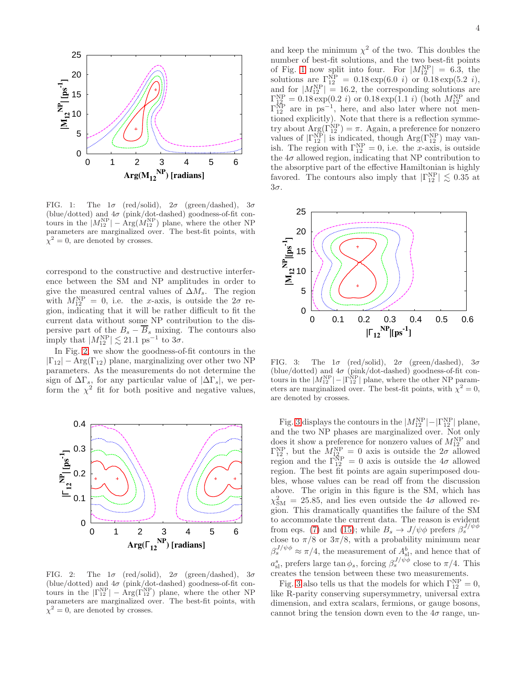

<span id="page-3-0"></span>FIG. 1: The  $1\sigma$  (red/solid),  $2\sigma$  (green/dashed),  $3\sigma$ (blue/dotted) and  $4\sigma$  (pink/dot-dashed) goodness-of-fit contours in the  $|M_{12}^{NP}| - Arg(M_{12}^{NP})$  plane, where the other NP parameters are marginalized over. The best-fit points, with  $\chi^2 = 0$ , are denoted by crosses.

correspond to the constructive and destructive interference between the SM and NP amplitudes in order to give the measured central values of  $\Delta M_s$ . The region with  $M_{12}^{\text{NP}} = 0$ , i.e. the x-axis, is outside the  $2\sigma$  region, indicating that it will be rather difficult to fit the current data without some NP contribution to the dispersive part of the  $B_s - \overline{B}_s$  mixing. The contours also imply that  $|M_{12}^{NP}| \lesssim 21.1 \text{ ps}^{-1}$  to  $3\sigma$ .

In Fig. [2,](#page-3-1) we show the goodness-of-fit contours in the  $|\Gamma_{12}| - \text{Arg}(\Gamma_{12})$  plane, marginalizing over other two NP parameters. As the measurements do not determine the sign of  $\Delta\Gamma_s$ , for any particular value of  $|\Delta\Gamma_s|$ , we perform the  $\chi^2$  fit for both positive and negative values,



<span id="page-3-1"></span>FIG. 2: The  $1\sigma$  (red/solid),  $2\sigma$  (green/dashed),  $3\sigma$ (blue/dotted) and  $4\sigma$  (pink/dot-dashed) goodness-of-fit contours in the  $|\Gamma_{12}^{NP}| - \text{Arg}(\Gamma_{12}^{NP})$  plane, where the other NP parameters are marginalized over. The best-fit points, with  $\chi^2 = 0$ , are denoted by crosses.

and keep the minimum  $\chi^2$  of the two. This doubles the number of best-fit solutions, and the two best-fit points of Fig. [1](#page-3-0) now split into four. For  $|M_{12}^{NP}| = 6.3$ , the solutions are  $\Gamma_{12}^{NP} = 0.18 \exp(6.0 i)$  or  $0.18 \exp(5.2 i)$ , and for  $|M_{12}^{NP}| = 16.2$ , the corresponding solutions are  $\Gamma_{12}^{\text{NP}} = 0.18 \exp(0.2 i)$  or  $0.18 \exp(1.1 i)$  (both  $M_{12}^{\text{NP}}$  and  $\Gamma_{12}^{\text{NP}}$  are in ps<sup>-1</sup>, here, and also later where not mentioned explicitly). Note that there is a reflection symmetry about  $\text{Arg}(\Gamma_{12}^{\text{NP}}) = \pi$ . Again, a preference for nonzero values of  $|\Gamma_{12}^{NP}|$  is indicated, though  $Arg(\Gamma_{12}^{NP})$  may vanish. The region with  $\Gamma_{12}^{\text{NP}} = 0$ , i.e. the *x*-axis, is outside the  $4\sigma$  allowed region, indicating that NP contribution to the absorptive part of the effective Hamiltonian is highly favored. The contours also imply that  $|\Gamma_{12}^{\text{NP}}| \lesssim 0.35$  at 3σ.



<span id="page-3-2"></span>FIG. 3: The  $1\sigma$  (red/solid),  $2\sigma$  (green/dashed),  $3\sigma$ (blue/dotted) and  $4\sigma$  (pink/dot-dashed) goodness-of-fit contours in the  $|M_{12}^{NP}| - |\vec{\Gamma}_{12}^{NP}|$  plane, where the other NP parameters are marginalized over. The best-fit points, with  $\chi^2 = 0$ , are denoted by crosses.

Fig. [3](#page-3-2) displays the contours in the  $|M_{12}^{NP}| - |\Gamma_{12}^{NP}|$  plane, and the two NP phases are marginalized over. Not only does it show a preference for nonzero values of  $M_{12}^{\rm NP}$  and  $\Gamma_{12}^{\text{NP}}$ , but the  $M_{12}^{\text{NP}} = 0$  axis is outside the  $2\sigma$  allowed region and the  $\Gamma_{12}^{NP} = 0$  axis is outside the  $4\sigma$  allowed region. The best fit points are again superimposed doubles, whose values can be read off from the discussion above. The origin in this figure is the SM, which has  $\chi^2_{\rm SM} = 25.85$ , and lies even outside the  $4\sigma$  allowed region. This dramatically quantifies the failure of the SM to accommodate the current data. The reason is evident from eqs. [\(7\)](#page-1-3) and [\(15\)](#page-2-3); while  $B_s \to J/\psi \phi$  prefers  $\beta_s^{J/\psi \phi}$ close to  $\pi/8$  or  $3\pi/8$ , with a probability minimum near  $\beta_s^{J/\psi \phi} \approx \pi/4$ , the measurement of  $A_{s}^b$ , and hence that of  $a_{\rm sl}^s$ , prefers large  $\tan \phi_s$ , forcing  $\beta_s^{J/\psi \phi}$  close to  $\pi/4$ . This creates the tension between these two measurements.

Fig. [3](#page-3-2) also tells us that the models for which  $\Gamma_{12}^{\text{NP}} = 0$ , like R-parity conserving supersymmetry, universal extra dimension, and extra scalars, fermions, or gauge bosons, cannot bring the tension down even to the  $4\sigma$  range, un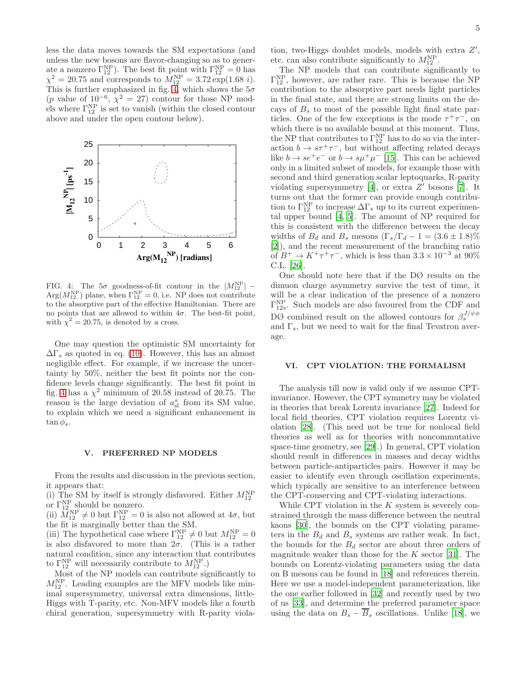less the data moves towards the SM expectations (and unless the new bosons are flavor-changing so as to generate a nonzero  $\Gamma_{12}^{NP}$ ). The best fit point with  $\Gamma_{12}^{NP} = 0$  has  $\chi^2 = 20.75$  and corresponds to  $M_{12}^{\rm NP} = 3.72 \exp(1.68 i)$ . This is further emphasized in fig. [4,](#page-4-2) which shows the  $5\sigma$  $(p$  value of  $10^{-6}$ ,  $\chi^2 = 27$ ) contour for those NP models where  $\Gamma_{12}^{\text{NP}}$  is set to vanish (within the closed contour above and under the open contour below).



<span id="page-4-2"></span>FIG. 4: The  $5\sigma$  goodness-of-fit contour in the  $|M_{12}^{NP}|$  - $Arg(M_{12}^{NP})$  plane, when  $\Gamma_{12}^{NP} = 0$ , i.e. NP does not contribute to the absorptive part of the effective Hamiltonian. There are no points that are allowed to within  $4\sigma$ . The best-fit point, with  $\chi^2 = 20.75$ , is denoted by a cross.

One may question the optimistic SM uncertainty for  $\Delta\Gamma_s$  as quoted in eq. [\(10\)](#page-2-4). However, this has an almost negligible effect. For example, if we increase the uncertainty by 50%, neither the best fit points nor the confidence levels change significantly. The best fit point in fig. [4](#page-4-2) has a  $\chi^2$  minimum of 20.58 instead of 20.75. The reason is the large deviation of  $a_{\rm sl}^s$  from its SM value, to explain which we need a significant enhancement in  $\tan \phi_s$ .

#### <span id="page-4-0"></span>V. PREFERRED NP MODELS

From the results and discussion in the previous section, it appears that:

(i) The SM by itself is strongly disfavored. Either  $M_{12}^{\text{NP}}$ or  $\Gamma_{12}^{\text{NP}}$  should be nonzero.

(ii)  $M_{12}^{\text{NP}} \neq 0$  but  $\Gamma_{12}^{\text{NP}} = 0$  is also not allowed at  $4\sigma$ , but the fit is marginally better than the SM.

(iii) The hypothetical case where  $\Gamma_{12}^{NP} \neq 0$  but  $M_{12}^{NP} = 0$ is also disfavored to more than  $2\sigma$ . (This is a rather natural condition, since any interaction that contributes to  $\Gamma_{12}^{\text{NP}}$  will necessarily contribute to  $M_{12}^{\text{NP}}$ .)

Most of the NP models can contribute significantly to  $M_{12}^{\text{NP}}$ . Leading examples are the MFV models like minimal supersymmetry, universal extra dimensions, little-Higgs with T-parity, etc. Non-MFV models like a fourth chiral generation, supersymmetry with R-parity violation, two-Higgs doublet models, models with extra Z', etc. can also contribute significantly to  $M_{12}^{\text{NP}}$ .

The NP models that can contribute significantly to  $\Gamma_{12}^{\text{NP}}$ , however, are rather rare. This is because the NP contribution to the absorptive part needs light particles in the final state, and there are strong limits on the decays of  $B_s$  to most of the possible light final state particles. One of the few exceptions is the mode  $\tau^+\tau^-$ , on which there is no available bound at this moment. Thus, the NP that contributes to  $\Gamma_{12}^{\text{NP}}$  has to do so via the interaction  $b \to s\tau^+\tau^-$ , but without affecting related decays like  $b \to s e^+ e^-$  or  $b \to s \mu^+ \mu^-$  [\[15](#page-8-14)]. This can be achieved only in a limited subset of models, for example those with second and third generation scalar leptoquarks, R-parity violating supersymmetry  $[4]$ , or extra  $Z'$  bosons  $[7]$ . It turns out that the former can provide enough contribution to  $\Gamma_{12}^{\text{NP}}$  to increase  $\Delta\Gamma_s$  up to its current experimental upper bound [\[4](#page-8-3), [5\]](#page-8-4). The amount of NP required for this is consistent with the difference between the decay widths of  $B_d$  and  $B_s$  mesons  $(\Gamma_s/\Gamma_d - 1 = (3.6 \pm 1.8)\%)$ [\[2\]](#page-8-1)), and the recent measurement of the branching ratio of  $B^+ \to K^+\tau^+\tau^-$ , which is less than  $3.3 \times 10^{-3}$  at 90% C.L. [\[26](#page-9-1)].

One should note here that if the DØ results on the dimuon charge asymmetry survive the test of time, it will be a clear indication of the presence of a nonzero  $\Gamma_{12s}^{\text{NP}}$ . Such models are also favoured from the CDF and DØ combined result on the allowed contours for  $\beta_s^{J/\psi\phi}$ and  $\Gamma_s$ , but we need to wait for the final Tevatron average.

### <span id="page-4-1"></span>VI. CPT VIOLATION: THE FORMALISM

The analysis till now is valid only if we assume CPTinvariance. However, the CPT symmetry may be violated in theories that break Lorentz invariance [\[27\]](#page-9-2). Indeed for local field theories, CPT violation requires Lorentz violation [\[28](#page-9-3)]. (This need not be true for nonlocal field theories as well as for theories with noncommutative space-time geometry, see [\[29\]](#page-9-4).) In general, CPT violation should result in differences in masses and decay widths between particle-antiparticles pairs. However it may be easier to identify even through oscillation experiments, which typically are sensitive to an interference between the CPT-conserving and CPT-violating interactions.

While CPT violation in the  $K$  system is severely constrained through the mass difference between the neutral kaons [\[30\]](#page-9-5), the bounds on the CPT violating parameters in the  $B_d$  and  $B_s$  systems are rather weak. In fact, the bounds for the  $B_d$  sector are about three orders of magnitude weaker than those for the  $K$  sector [\[31\]](#page-9-6). The bounds on Lorentz-violating parameters using the data on B mesons can be found in [\[18](#page-8-17)] and references therein. Here we use a model-independent parameterization, like the one earlier followed in [\[32](#page-9-7)] and recently used by two of us [\[33\]](#page-9-8), and determine the preferred parameter space using the data on  $B_s - \overline{B}_s$  oscillations. Unlike [\[18](#page-8-17)], we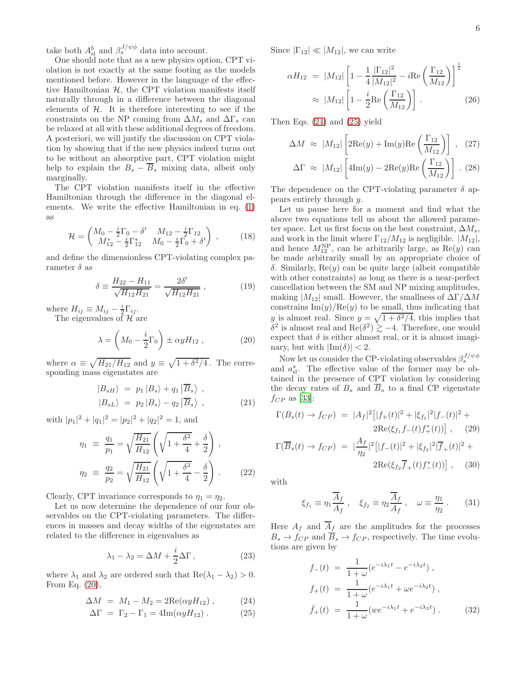take both  $A_{\rm sl}^b$  and  $\beta_s^{J/\psi\phi}$  data into account.

One should note that as a new physics option, CPT violation is not exactly at the same footing as the models mentioned before. However in the language of the effective Hamiltonian  $H$ , the CPT violation manifests itself naturally through in a difference between the diagonal elements of  $H$ . It is therefore interesting to see if the constraints on the NP coming from  $\Delta M_s$  and  $\Delta \Gamma_s$  can be relaxed at all with these additional degrees of freedom. A posteriori, we will justify the discussion on CPT violation by showing that if the new physics indeed turns out to be without an absorptive part, CPT violation might help to explain the  $B_s - \overline{B}_s$  mixing data, albeit only marginally.

The CPT violation manifests itself in the effective Hamiltonian through the difference in the diagonal elements. We write the effective Hamiltonian in eq. [\(1\)](#page-1-4) as

$$
\mathcal{H} = \begin{pmatrix} M_0 - \frac{i}{2} \Gamma_0 - \delta' & M_{12} - \frac{i}{2} \Gamma_{12} \\ M_{12}^* - \frac{i}{2} \Gamma_{12}^* & M_0 - \frac{i}{2} \Gamma_0 + \delta' \end{pmatrix} , \qquad (18)
$$

and define the dimensionless CPT-violating complex parameter  $\delta$  as

$$
\delta \equiv \frac{H_{22} - H_{11}}{\sqrt{H_{12} H_{21}}} = \frac{2\delta'}{\sqrt{H_{12} H_{21}}} , \qquad (19)
$$

where  $H_{ij} \equiv M_{ij} - \frac{i}{2} \Gamma_{ij}$ .

The eigenvalues of  $\mathcal{H}$  are

<span id="page-5-0"></span>
$$
\lambda = \left( M_0 - \frac{i}{2} \Gamma_0 \right) \pm \alpha y H_{12} \,, \tag{20}
$$

where  $\alpha \equiv \sqrt{H_{21}/H_{12}}$  and  $y \equiv \sqrt{1 + \delta^2/4}$ . The corresponding mass eigenstates are

$$
\begin{aligned}\n|B_{sH}\rangle &= p_1 |B_s\rangle + q_1 | \overline{B}_s\rangle, \\
|B_{sL}\rangle &= p_2 |B_s\rangle - q_2 | \overline{B}_s\rangle,\n\end{aligned} \tag{21}
$$

with  $|p_1|^2 + |q_1|^2 = |p_2|^2 + |q_2|^2 = 1$ , and

$$
\eta_1 \equiv \frac{q_1}{p_1} = \sqrt{\frac{H_{21}}{H_{12}}} \left( \sqrt{1 + \frac{\delta^2}{4}} + \frac{\delta}{2} \right),
$$
  

$$
\eta_2 \equiv \frac{q_2}{p_2} = \sqrt{\frac{H_{21}}{H_{12}}} \left( \sqrt{1 + \frac{\delta^2}{4}} - \frac{\delta}{2} \right).
$$
 (22)

Clearly, CPT invariance corresponds to  $\eta_1 = \eta_2$ .

Let us now determine the dependence of our four observables on the CPT-violating parameters. The differences in masses and decay widths of the eigenstates are related to the difference in eigenvalues as

$$
\lambda_1 - \lambda_2 = \Delta M + \frac{i}{2} \Delta \Gamma, \qquad (23)
$$

where  $\lambda_1$  and  $\lambda_2$  are ordered such that  $\text{Re}(\lambda_1 - \lambda_2) > 0$ . From Eq. [\(20\)](#page-5-0),

<span id="page-5-1"></span>
$$
\Delta M = M_1 - M_2 = 2\text{Re}(\alpha y H_{12}), \quad (24)
$$

$$
\Delta \Gamma = \Gamma_2 - \Gamma_1 = 4 \text{Im}(\alpha y H_{12}). \tag{25}
$$

Since  $|\Gamma_{12}| \ll |M_{12}|$ , we can write

$$
\alpha H_{12} = |M_{12}| \left[ 1 - \frac{1}{4} \frac{|\Gamma_{12}|^2}{|M_{12}|^2} - i \text{Re} \left( \frac{\Gamma_{12}}{M_{12}} \right) \right]^{\frac{1}{2}}
$$
  

$$
\approx |M_{12}| \left[ 1 - \frac{i}{2} \text{Re} \left( \frac{\Gamma_{12}}{M_{12}} \right) \right].
$$
 (26)

Then Eqs. [\(24\)](#page-5-1) and [\(25\)](#page-5-1) yield

$$
\Delta M \approx |M_{12}| \left[ 2\text{Re}(y) + \text{Im}(y)\text{Re}\left(\frac{\Gamma_{12}}{M_{12}}\right) \right], \quad (27)
$$

$$
\Delta \Gamma \approx |M_{12}| \left[ 4 \text{Im}(y) - 2 \text{Re}(y) \text{Re} \left( \frac{\Gamma_{12}}{M_{12}} \right) \right] . (28)
$$

The dependence on the CPT-violating parameter  $\delta$  appears entirely through y.

Let us pause here for a moment and find what the above two equations tell us about the allowed parameter space. Let us first focus on the best constraint,  $\Delta M_s$ , and work in the limit where  $\Gamma_{12}/M_{12}$  is negligible.  $|M_{12}|$ , and hence  $M_{12}^{\text{NP}}$ , can be arbitrarily large, as  $\text{Re}(y)$  can be made arbitrarily small by an appropriate choice of δ. Similarly, Re(y) can be quite large (albeit compatible with other constraints) as long as there is a near-perfect cancellation between the SM and NP mixing amplitudes, making  $|M_{12}|$  small. However, the smallness of  $\Delta\Gamma/\Delta M$ constrains  $\text{Im}(y)/\text{Re}(y)$  to be small, thus indicating that y is almost real. Since  $y = \sqrt{1 + \delta^2/4}$ , this implies that δ<sup>2</sup> is almost real and Re(δ<sup>2</sup>)  $\gtrsim$  −4. Therefore, one would expect that  $\delta$  is either almost real, or it is almost imaginary, but with  $|\text{Im}(\delta)| < 2$ .

Now let us consider the CP-violating observables  $\beta_s^{J/\psi \phi}$ and  $a_{\rm sl}^s$ . The effective value of the former may be obtained in the presence of CPT violation by considering the decay rates of  $B_s$  and  $\overline{B}_s$  to a final CP eigenstate  $f_{CP}$  as [\[33\]](#page-9-8):

<span id="page-5-2"></span>
$$
\Gamma(B_s(t) \to f_{CP}) = |A_f|^2 \left[ |f_+(t)|^2 + |\xi_{f_1}|^2 |f_-(t)|^2 + 2\text{Re}(\xi_{f_1} f_-(t) f_+^*(t)) \right], \quad (29)
$$

$$
\Gamma(\overline{B}_s(t) \to f_{CP}) = |\frac{A_f}{\eta_2}|^2 \left[ |f_-(t)|^2 + |\xi_{f_2}|^2 |f_+(t)|^2 + 2\text{Re}(\xi_{f_2} \overline{f}_+(t) f_-^*(t)) \right], \quad (30)
$$

with

$$
\xi_{f_1} \equiv \eta_1 \frac{\overline{A}_f}{A_f} , \quad \xi_{f_2} \equiv \eta_2 \frac{\overline{A}_f}{A_f} , \quad \omega \equiv \frac{\eta_1}{\eta_2} . \tag{31}
$$

Here  $A_f$  and  $\overline{A}_f$  are the amplitudes for the processes  $B_s \to f_{CP}$  and  $\overline{B}_s \to f_{CP}$ , respectively. The time evolutions are given by

$$
f_{-}(t) = \frac{1}{1+\omega} (e^{-i\lambda_1 t} - e^{-i\lambda_2 t}),
$$
  
\n
$$
f_{+}(t) = \frac{1}{1+\omega} (e^{-i\lambda_1 t} + \omega e^{-i\lambda_2 t}),
$$
  
\n
$$
\bar{f}_{+}(t) = \frac{1}{1+\omega} (we^{-i\lambda_1 t} + e^{-i\lambda_2 t}).
$$
\n(32)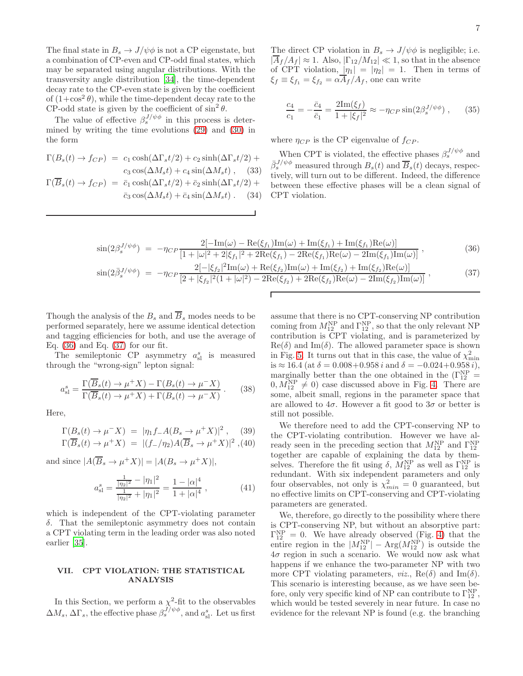The final state in  $B_s \to J/\psi \phi$  is not a CP eigenstate, but a combination of CP-even and CP-odd final states, which may be separated using angular distributions. With the transversity angle distribution [\[34\]](#page-9-9), the time-dependent decay rate to the CP-even state is given by the coefficient of  $(1+\cos^2\theta)$ , while the time-dependent decay rate to the CP-odd state is given by the coefficient of  $\sin^2 \theta$ .

The value of effective  $\beta_s^{J/\psi\phi}$  in this process is determined by writing the time evolutions [\(29\)](#page-5-2) and [\(30\)](#page-5-2) in the form

$$
\Gamma(B_s(t) \to f_{CP}) = c_1 \cosh(\Delta \Gamma_s t/2) + c_2 \sinh(\Delta \Gamma_s t/2) + c_3 \cos(\Delta M_s t) + c_4 \sin(\Delta M_s t),
$$
\n(33)\n
$$
\Gamma(\overline{B}_s(t) \to f_{CP}) = \overline{c}_1 \cosh(\Delta \Gamma_s t/2) + \overline{c}_2 \sinh(\Delta \Gamma_s t/2) + \overline{c}_3 \cos(\Delta M_s t) + \overline{c}_4 \sin(\Delta M_s t). \quad (34)
$$

The direct CP violation in  $B_s \to J/\psi \phi$  is negligible; i.e.  $|\overline{A}_f/A_f| \approx 1$ . Also,  $|\Gamma_{12}/M_{12}| \ll 1$ , so that in the absence of CPT violation,  $|\eta_1| = |\eta_2| = 1$ . Then in terms of  $\xi_f \equiv \xi_{f1} = \xi_{f2} = \alpha \overline{A}_f / A_f$ , one can write

$$
\frac{c_4}{c_1} = -\frac{\bar{c}_4}{\bar{c}_1} = \frac{2\text{Im}(\xi_f)}{1 + |\xi_f|^2} \approx -\eta_{CP} \sin(2\beta_s^{J/\psi\phi}),\qquad(35)
$$

where  $\eta_{CP}$  is the CP eigenvalue of  $f_{CP}$ .

When CPT is violated, the effective phases  $\beta_s^{J/\psi\phi}$  and  $\bar{\beta}_s^{J/\psi \phi}$  measured through  $B_s(t)$  and  $\overline{B}_s(t)$  decays, respectively, will turn out to be different. Indeed, the difference between these effective phases will be a clean signal of CPT violation.

<span id="page-6-1"></span>
$$
\sin(2\beta_s^{J/\psi\phi}) = -\eta_{CP} \frac{2[-\text{Im}(\omega) - \text{Re}(\xi_{f_1})\text{Im}(\omega) + \text{Im}(\xi_{f_1}) + \text{Im}(\xi_{f_1})\text{Re}(\omega)]}{[1 + |\omega|^2 + 2|\xi_{f_1}|^2 + 2\text{Re}(\xi_{f_1}) - 2\text{Re}(\xi_{f_1})\text{Re}(\omega) - 2\text{Im}(\xi_{f_1})\text{Im}(\omega)]},
$$
\n(36)

$$
\sin(2\bar{\beta}_s^{J/\psi\phi}) = -\eta_{CP} \frac{2[-|\xi_{f_2}|^2 \text{Im}(\omega) + \text{Re}(\xi_{f_2}) \text{Im}(\omega) + \text{Im}(\xi_{f_2}) + \text{Im}(\xi_{f_2}) \text{Re}(\omega)]}{[2 + |\xi_{f_2}|^2 (1 + |\omega|^2) - 2\text{Re}(\xi_{f_2}) + 2\text{Re}(\xi_{f_2}) \text{Re}(\omega) - 2\text{Im}(\xi_{f_2}) \text{Im}(\omega)]},
$$
\n(37)

Г

Though the analysis of the  $B_s$  and  $\overline{B}_s$  modes needs to be performed separately, here we assume identical detection and tagging efficiencies for both, and use the average of Eq. [\(36\)](#page-6-1) and Eq. [\(37\)](#page-6-1) for our fit.

The semileptonic CP asymmetry  $a_{\rm sl}^s$  is measured through the "wrong-sign" lepton signal:

$$
a_{\rm sl}^s = \frac{\Gamma(\overline{B}_s(t) \to \mu^+ X) - \Gamma(B_s(t) \to \mu^- X)}{\Gamma(\overline{B}_s(t) \to \mu^+ X) + \Gamma(B_s(t) \to \mu^- X)}.
$$
 (38)

Here,

$$
\Gamma(B_s(t) \to \mu^- X) = |\eta_1 f_- A(B_s \to \mu^+ X)|^2, \quad (39)
$$
  
\n
$$
\Gamma(\overline{B}_s(t) \to \mu^+ X) = |(f_-/\eta_2) A(\overline{B}_s \to \mu^+ X)|^2, (40)
$$

and since  $|A(\overline{B}_s \to \mu^+ X)| = |A(B_s \to \mu^+ X)|$ ,

$$
a_{\rm sl}^s = \frac{\frac{1}{|\eta_2|^2} - |\eta_1|^2}{\frac{1}{|\eta_2|^2} + |\eta_1|^2} = \frac{1 - |\alpha|^4}{1 + |\alpha|^4} \,,\tag{41}
$$

which is independent of the CPT-violating parameter δ. That the semileptonic asymmetry does not contain a CPT violating term in the leading order was also noted earlier [\[35](#page-9-10)].

## <span id="page-6-0"></span>VII. CPT VIOLATION: THE STATISTICAL ANALYSIS

In this Section, we perform a  $\chi^2$ -fit to the observables  $\Delta M_s$ ,  $\Delta \Gamma_s$ , the effective phase  $\beta_s^{J/\psi\phi}$ , and  $a_{sl}^s$ . Let us first assume that there is no CPT-conserving NP contribution coming from  $M_{12}^{\text{NP}}$  and  $\Gamma_{12}^{\text{NP}}$ , so that the only relevant NP contribution is CPT violating, and is parameterized by  $\text{Re}(\delta)$  and Im( $\delta$ ). The allowed parameter space is shown in Fig. [5.](#page-7-1) It turns out that in this case, the value of  $\chi^2_{\rm min}$ is  $\approx 16.4$  (at  $\delta = 0.008 + 0.958 i$  and  $\delta = -0.024 + 0.958 i$ ), marginally better than the one obtained in the  $(\Gamma_{12}^{\text{NP}}=$  $(0, M_{12}^{\text{NP}} \neq 0)$  case discussed above in Fig. [4.](#page-4-2) There are some, albeit small, regions in the parameter space that are allowed to  $4\sigma$ . However a fit good to  $3\sigma$  or better is still not possible.

We therefore need to add the CPT-conserving NP to the CPT-violating contribution. However we have already seen in the preceding section that  $M_{12}^{\text{NP}}$  and  $\Gamma_{12}^{\text{NP}}$  together are capable of explaining the data by themselves. Therefore the fit using  $\delta$ ,  $M_{12}^{\rm NP}$  as well as  $\Gamma_{12}^{\rm NP}$  is redundant. With six independent parameters and only four observables, not only is  $\chi^2_{min} = 0$  guaranteed, but no effective limits on CPT-conserving and CPT-violating parameters are generated.

We, therefore, go directly to the possibility where there is CPT-conserving NP, but without an absorptive part:  $\Gamma_{12}^{\text{NP}} = 0$ . We have already observed (Fig. [4\)](#page-4-2) that the entire region in the  $|M_{12}^{NP}| - \text{Arg}(M_{12}^{NP})$  is outside the  $4\sigma$  region in such a scenario. We would now ask what happens if we enhance the two-parameter NP with two more CPT violating parameters, *viz.*,  $\text{Re}(\delta)$  and  $\text{Im}(\delta)$ . This scenario is interesting because, as we have seen before, only very specific kind of NP can contribute to  $\Gamma_{12}^{\text{NP}}$ , which would be tested severely in near future. In case no evidence for the relevant NP is found (e.g. the branching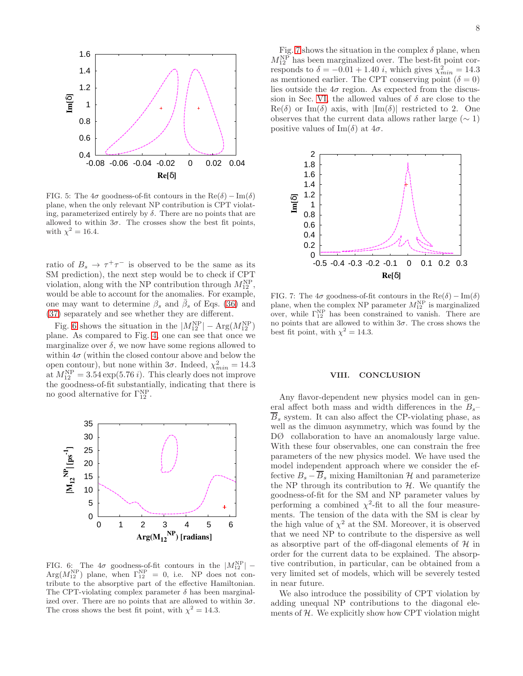

<span id="page-7-1"></span>FIG. 5: The  $4\sigma$  goodness-of-fit contours in the Re( $\delta$ ) – Im( $\delta$ ) plane, when the only relevant NP contribution is CPT violating, parameterized entirely by  $\delta$ . There are no points that are allowed to within  $3\sigma$ . The crosses show the best fit points, with  $\chi^2 = 16.4$ .

ratio of  $B_s \to \tau^+\tau^-$  is observed to be the same as its SM prediction), the next step would be to check if CPT violation, along with the NP contribution through  $M_{12}^{\text{NP}}$ , would be able to account for the anomalies. For example, one may want to determine  $\beta_s$  and  $\bar{\beta}_s$  of Eqs. [\(36\)](#page-6-1) and [\(37\)](#page-6-1) separately and see whether they are different.

Fig. [6](#page-7-2) shows the situation in the  $|M_{12}^{NP}| - \text{Arg}(M_{12}^{NP})$ plane. As compared to Fig. [4,](#page-4-2) one can see that once we marginalize over  $\delta$ , we now have some regions allowed to within  $4\sigma$  (within the closed contour above and below the open contour), but none within  $3\sigma$ . Indeed,  $\chi^2_{min} = 14.3$ at  $M_{12}^{\rm NP} = 3.54 \exp(5.76 i)$ . This clearly does not improve the goodness-of-fit substantially, indicating that there is no good alternative for  $\Gamma_{12}^{\text{NP}}$ .



<span id="page-7-2"></span>FIG. 6: The  $4\sigma$  goodness-of-fit contours in the  $|M_{12}^{NP}|$  –  $Arg(M_{12}^{NP})$  plane, when  $\Gamma_{12}^{NP} = 0$ , i.e. NP does not contribute to the absorptive part of the effective Hamiltonian. The CPT-violating complex parameter  $\delta$  has been marginalized over. There are no points that are allowed to within  $3\sigma$ . The cross shows the best fit point, with  $\chi^2 = 14.3$ .

Fig. [7](#page-7-3) shows the situation in the complex  $\delta$  plane, when  $M_{12}^{\text{NP}}$  has been marginalized over. The best-fit point corresponds to  $\delta = -0.01 + 1.40 i$ , which gives  $\chi^2_{min} = 14.3$ as mentioned earlier. The CPT conserving point  $(\delta = 0)$ lies outside the  $4\sigma$  region. As expected from the discus-sion in Sec. [VI,](#page-4-1) the allowed values of  $\delta$  are close to the  $\text{Re}(\delta)$  or Im(δ) axis, with  $|\text{Im}(\delta)|$  restricted to 2. One observes that the current data allows rather large  $(\sim 1)$ positive values of Im( $\delta$ ) at  $4\sigma$ .



<span id="page-7-3"></span>FIG. 7: The  $4\sigma$  goodness-of-fit contours in the Re( $\delta$ ) – Im( $\delta$ ) plane, when the complex NP parameter  $M_{12}^{\text{NP}}$  is marginalized over, while  $\Gamma_{12}^{NP}$  has been constrained to vanish. There are no points that are allowed to within  $3\sigma$ . The cross shows the best fit point, with  $\chi^2 = 14.3$ .

#### <span id="page-7-0"></span>VIII. CONCLUSION

Any flavor-dependent new physics model can in general affect both mass and width differences in the  $B_s$ –  $\overline{B}_s$  system. It can also affect the CP-violating phase, as well as the dimuon asymmetry, which was found by the DØ collaboration to have an anomalously large value. With these four observables, one can constrain the free parameters of the new physics model. We have used the model independent approach where we consider the effective  $B_s - \overline{B}_s$  mixing Hamiltonian H and parameterize the NP through its contribution to  $H$ . We quantify the goodness-of-fit for the SM and NP parameter values by performing a combined  $\chi^2$ -fit to all the four measurements. The tension of the data with the SM is clear by the high value of  $\chi^2$  at the SM. Moreover, it is observed that we need NP to contribute to the dispersive as well as absorptive part of the off-diagonal elements of  $H$  in order for the current data to be explained. The absorptive contribution, in particular, can be obtained from a very limited set of models, which will be severely tested in near future.

We also introduce the possibility of CPT violation by adding unequal NP contributions to the diagonal elements of  $H$ . We explicitly show how CPT violation might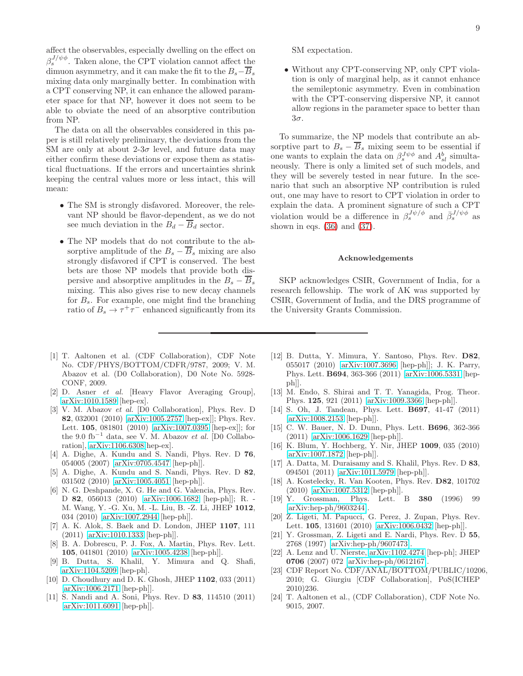affect the observables, especially dwelling on the effect on  $\beta_s^{J/\psi\phi}$ . Taken alone, the CPT violation cannot affect the dimuon asymmetry, and it can make the fit to the  $B_s-\overline{B}_s$ mixing data only marginally better. In combination with a CPT conserving NP, it can enhance the allowed parameter space for that NP, however it does not seem to be able to obviate the need of an absorptive contribution from NP.

The data on all the observables considered in this paper is still relatively preliminary, the deviations from the SM are only at about 2-3 $\sigma$  level, and future data may either confirm these deviations or expose them as statistical fluctuations. If the errors and uncertainties shrink keeping the central values more or less intact, this will mean:

- The SM is strongly disfavored. Moreover, the relevant NP should be flavor-dependent, as we do not see much deviation in the  $B_d - \overline{B}_d$  sector.
- The NP models that do not contribute to the absorptive amplitude of the  $B_s - \overline{B}_s$  mixing are also strongly disfavored if CPT is conserved. The best bets are those NP models that provide both dispersive and absorptive amplitudes in the  $B_s - \overline{B}_s$ mixing. This also gives rise to new decay channels for  $B_s$ . For example, one might find the branching ratio of  $B_s \to \tau^+\tau^-$  enhanced significantly from its

SM expectation.

• Without any CPT-conserving NP, only CPT violation is only of marginal help, as it cannot enhance the semileptonic asymmetry. Even in combination with the CPT-conserving dispersive NP, it cannot allow regions in the parameter space to better than 3σ.

To summarize, the NP models that contribute an absorptive part to  $B_s - \overline{B}_s$  mixing seem to be essential if one wants to explain the data on  $\beta_s^{J\psi\phi}$  and  $A_{sl}^b$  simultaneously. There is only a limited set of such models, and they will be severely tested in near future. In the scenario that such an absorptive NP contribution is ruled out, one may have to resort to CPT violation in order to explain the data. A prominent signature of such a CPT violation would be a difference in  $\beta_s^{J\psi/\phi}$  and  $\bar{\beta}_s^{J/\psi\phi}$  as shown in eqs.  $(36)$  and  $(37)$ .

#### Acknowledgements

SKP acknowledges CSIR, Government of India, for a research fellowship. The work of AK was supported by CSIR, Government of India, and the DRS programme of the University Grants Commission.

- <span id="page-8-0"></span>[1] T. Aaltonen et al. (CDF Collaboration), CDF Note No. CDF/PHYS/BOTTOM/CDFR/9787, 2009; V. M. Abazov et al. (D0 Collaboration), D0 Note No. 5928- CONF, 2009.
- <span id="page-8-1"></span>[2] D. Asner et al. [Heavy Flavor Averaging Group], [arXiv:1010.1589](http://arxiv.org/abs/1010.1589) [hep-ex].
- <span id="page-8-2"></span>[3] V. M. Abazov et al. [D0 Collaboration], Phys. Rev. D 82, 032001 (2010) [\[arXiv:1005.2757](http://arxiv.org/abs/1005.2757) [hep-ex]]; Phys. Rev. Lett. 105, 081801 (2010) [\[arXiv:1007.0395](http://arxiv.org/abs/1007.0395) [hep-ex]]; for the 9.0 fb<sup>-1</sup> data, see V. M. Abazov et al. [D0 Collaboration], [arXiv:1106.6308\[](http://arxiv.org/abs/1106.6308)hep-ex].
- <span id="page-8-3"></span>[4] A. Dighe, A. Kundu and S. Nandi, Phys. Rev. D 76, 054005 (2007) [\[arXiv:0705.4547](http://arxiv.org/abs/0705.4547) [hep-ph]].
- <span id="page-8-4"></span>[5] A. Dighe, A. Kundu and S. Nandi, Phys. Rev. D 82, 031502 (2010) [\[arXiv:1005.4051](http://arxiv.org/abs/1005.4051) [hep-ph]].
- <span id="page-8-5"></span>[6] N. G. Deshpande, X. G. He and G. Valencia, Phys. Rev. D 82, 056013 (2010) [\[arXiv:1006.1682](http://arxiv.org/abs/1006.1682) [hep-ph]]; R. - M. Wang, Y. -G. Xu, M. -L. Liu, B. -Z. Li, JHEP 1012, 034 (2010) [\[arXiv:1007.2944](http://arxiv.org/abs/1007.2944) [hep-ph]].
- <span id="page-8-6"></span>[7] A. K. Alok, S. Baek and D. London, JHEP 1107, 111 (2011) [\[arXiv:1010.1333](http://arxiv.org/abs/1010.1333) [hep-ph]].
- <span id="page-8-7"></span>[8] B. A. Dobrescu, P. J. Fox, A. Martin, Phys. Rev. Lett. 105, 041801 (2010) [\[arXiv:1005.4238](http://arxiv.org/abs/1005.4238) [hep-ph]].
- <span id="page-8-8"></span>[9] B. Dutta, S. Khalil, Y. Mimura and Q. Shafi, [arXiv:1104.5209](http://arxiv.org/abs/1104.5209) [hep-ph].
- <span id="page-8-9"></span>[10] D. Choudhury and D. K. Ghosh, JHEP 1102, 033 (2011) [\[arXiv:1006.2171](http://arxiv.org/abs/1006.2171) [hep-ph]].
- <span id="page-8-10"></span>[11] S. Nandi and A. Soni, Phys. Rev. D 83, 114510 (2011) [\[arXiv:1011.6091](http://arxiv.org/abs/1011.6091) [hep-ph]].
- <span id="page-8-11"></span>[12] B. Dutta, Y. Mimura, Y. Santoso, Phys. Rev. D82, 055017 (2010) [\[arXiv:1007.3696](http://arxiv.org/abs/1007.3696) [hep-ph]]; J. K. Parry, Phys. Lett. B694, 363-366 (2011) [\[arXiv:1006.5331](http://arxiv.org/abs/1006.5331) [hepph]].
- <span id="page-8-12"></span>[13] M. Endo, S. Shirai and T. T. Yanagida, Prog. Theor. Phys. 125, 921 (2011) [\[arXiv:1009.3366](http://arxiv.org/abs/1009.3366) [hep-ph]].
- <span id="page-8-13"></span>[14] S. Oh, J. Tandean, Phys. Lett. B697, 41-47 (2011) [\[arXiv:1008.2153](http://arxiv.org/abs/1008.2153) [hep-ph]].
- <span id="page-8-14"></span>[15] C. W. Bauer, N. D. Dunn, Phys. Lett. B696, 362-366 (2011) [\[arXiv:1006.1629](http://arxiv.org/abs/1006.1629) [hep-ph]].
- <span id="page-8-15"></span>[16] K. Blum, Y. Hochberg, Y. Nir, JHEP 1009, 035 (2010) [\[arXiv:1007.1872](http://arxiv.org/abs/1007.1872) [hep-ph]].
- <span id="page-8-16"></span>[17] A. Datta, M. Duraisamy and S. Khalil, Phys. Rev. D 83, 094501 (2011) [\[arXiv:1011.5979](http://arxiv.org/abs/1011.5979) [hep-ph]].
- <span id="page-8-17"></span>[18] A. Kostelecky, R. Van Kooten, Phys. Rev. D82, 101702 (2010) [\[arXiv:1007.5312](http://arxiv.org/abs/1007.5312) [hep-ph]].
- <span id="page-8-18"></span>[19] Y. Grossman, Phys. Lett. B 380 (1996) 99 [\[arXiv:hep-ph/9603244\]](http://arxiv.org/abs/hep-ph/9603244).
- <span id="page-8-19"></span>[20] Z. Ligeti, M. Papucci, G. Perez, J. Zupan, Phys. Rev. Lett. 105, 131601 (2010) [\[arXiv:1006.0432](http://arxiv.org/abs/1006.0432) [hep-ph]].
- <span id="page-8-20"></span>[21] Y. Grossman, Z. Ligeti and E. Nardi, Phys. Rev. D 55, 2768 (1997) [\[arXiv:hep-ph/9607473\]](http://arxiv.org/abs/hep-ph/9607473).
- <span id="page-8-21"></span>[22] A. Lenz and U. Nierste, [arXiv:1102.4274](http://arxiv.org/abs/1102.4274) [hep-ph]; JHEP 0706 (2007) 072 [\[arXiv:hep-ph/0612167\]](http://arxiv.org/abs/hep-ph/0612167).
- <span id="page-8-22"></span>[23] CDF Report No. CDF/ANAL/BOTTOM/PUBLIC/10206, 2010; G. Giurgiu [CDF Collaboration], PoS(ICHEP 2010)236.
- <span id="page-8-23"></span>[24] T. Aaltonen et al., (CDF Collaboration), CDF Note No. 9015, 2007.